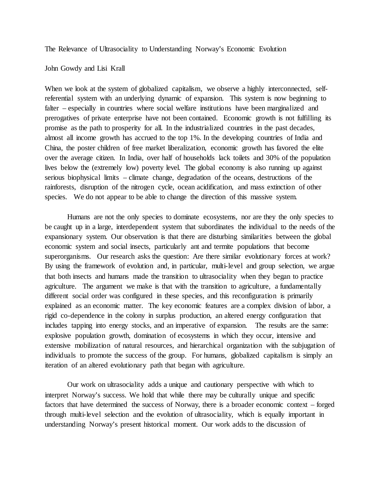The Relevance of Ultrasociality to Understanding Norway's Economic Evolution

John Gowdy and Lisi Krall

When we look at the system of globalized capitalism, we observe a highly interconnected, selfreferential system with an underlying dynamic of expansion. This system is now beginning to falter – especially in countries where social welfare institutions have been marginalized and prerogatives of private enterprise have not been contained. Economic growth is not fulfilling its promise as the path to prosperity for all. In the industrialized countries in the past decades, almost all income growth has accrued to the top 1%. In the developing countries of India and China, the poster children of free market liberalization, economic growth has favored the elite over the average citizen. In India, over half of households lack toilets and 30% of the population lives below the (extremely low) poverty level. The global economy is also running up against serious biophysical limits – climate change, degradation of the oceans, destructions of the rainforests, disruption of the nitrogen cycle, ocean acidification, and mass extinction of other species. We do not appear to be able to change the direction of this massive system.

Humans are not the only species to dominate ecosystems, nor are they the only species to be caught up in a large, interdependent system that subordinates the individual to the needs of the expansionary system. Our observation is that there are disturbing similarities between the global economic system and social insects, particularly ant and termite populations that become superorganisms. Our research asks the question: Are there similar evolutionary forces at work? By using the framework of evolution and, in particular, multi-level and group selection, we argue that both insects and humans made the transition to ultrasociality when they began to practice agriculture. The argument we make is that with the transition to agriculture, a fundamentally different social order was configured in these species, and this reconfiguration is primarily explained as an economic matter. The key economic features are a complex division of labor, a rigid co-dependence in the colony in surplus production, an altered energy configuration that includes tapping into energy stocks, and an imperative of expansion. The results are the same: explosive population growth, domination of ecosystems in which they occur, intensive and extensive mobilization of natural resources, and hierarchical organization with the subjugation of individuals to promote the success of the group. For humans, globalized capitalism is simply an iteration of an altered evolutionary path that began with agriculture.

Our work on ultrasociality adds a unique and cautionary perspective with which to interpret Norway's success. We hold that while there may be culturally unique and specific factors that have determined the success of Norway, there is a broader economic context – forged through multi-level selection and the evolution of ultrasociality, which is equally important in understanding Norway's present historical moment. Our work adds to the discussion of